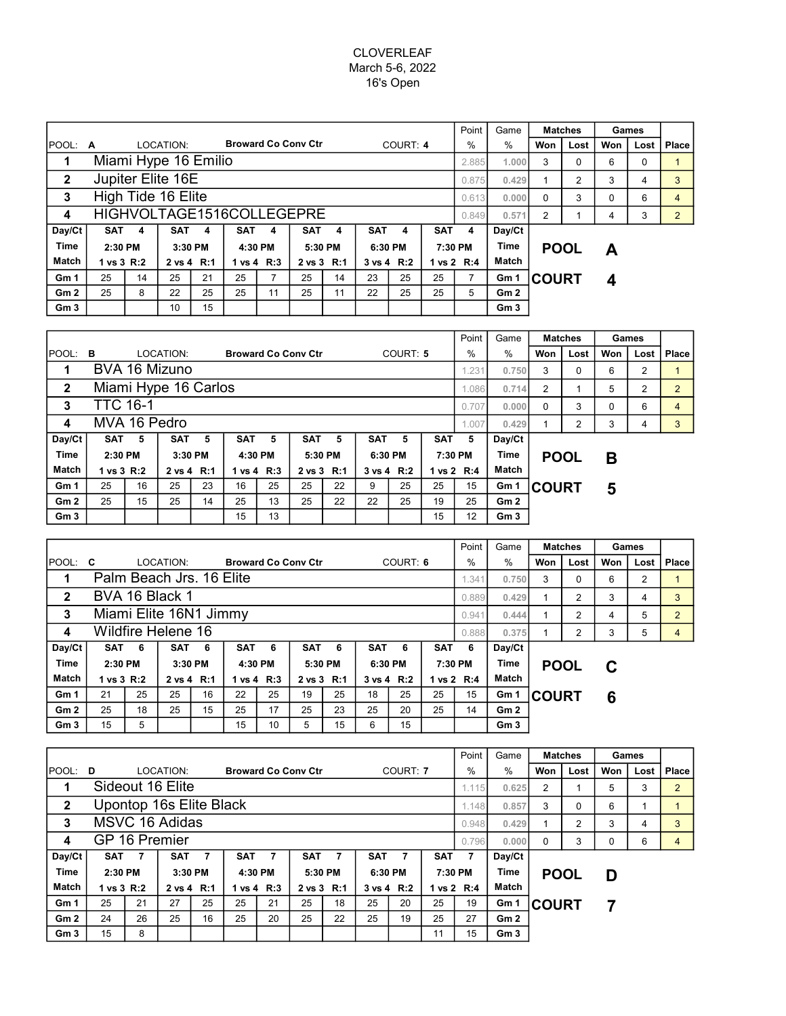## CLOVERLEAF March 5-6, 2022 16's Open

|                 |                           |    |            |         |            |              |                            |         |            |                       |            | Point                | Game            | <b>Matches</b> |          | Games |      |                |
|-----------------|---------------------------|----|------------|---------|------------|--------------|----------------------------|---------|------------|-----------------------|------------|----------------------|-----------------|----------------|----------|-------|------|----------------|
| <b>IPOOL: A</b> |                           |    | LOCATION:  |         |            |              | <b>Broward Co Conv Ctr</b> |         |            | COURT: 4              |            | $\%$                 | %               | Won            | Lost     | Won   | Lost | Place          |
| 1               | Miami Hype 16 Emilio      |    |            |         |            |              |                            |         |            |                       |            |                      |                 | 3              | $\Omega$ | 6     | 0    |                |
| $\mathbf{2}$    | Jupiter Elite 16E         |    |            |         |            |              |                            |         |            |                       |            |                      | 0.875<br>0.429  | 1              | 2        | 3     | 4    | 3              |
| 3               | High Tide 16 Elite        |    |            |         |            |              |                            |         |            |                       |            |                      |                 | $\Omega$       | 3        |       | 6    | 4              |
| 4               | HIGHVOLTAGE1516COLLEGEPRE |    |            |         |            |              |                            |         |            |                       |            |                      | 0.571           | $\overline{2}$ |          | 4     | 3    | $\overline{2}$ |
| Day/Ct          | <b>SAT</b>                | 4  | <b>SAT</b> | 4       | <b>SAT</b> | 4            | <b>SAT</b>                 | 4       | <b>SAT</b> | 4                     | <b>SAT</b> | 4                    | Day/Ct          |                |          |       |      |                |
| Time            | 2:30 PM                   |    |            | 3:30 PM |            | 4:30 PM      |                            | 5:30 PM |            | 6:30 PM               |            | 7:30 PM              |                 | <b>POOL</b>    |          | A     |      |                |
| <b>Match</b>    | 1 vs 3 R:2                |    | 2 vs 4 R:1 |         |            | 1 vs $4$ R:3 | 2 vs 3 R:1                 |         |            | $3 \text{ vs } 4$ R:2 |            | 1 vs $2 \text{ R}:4$ | Match           |                |          |       |      |                |
| Gm <sub>1</sub> | 25                        | 14 | 25         | 21      | 25         | 7            | 25                         | 14      | 23         | 25                    | 25         |                      | Gm <sub>1</sub> | <b>ICOURT</b>  |          | 4     |      |                |
| Gm <sub>2</sub> | 25                        | 8  | 22         | 25      | 25         | 11           | 25                         | 11      | 22         | 25                    | 25         | 5                    | Gm2             |                |          |       |      |                |
| Gm <sub>3</sub> |                           |    | 10         | 15      |            |              |                            |         |            |                       |            |                      | Gm3             |                |          |       |      |                |

|                 |                      |    |            |         |            |            |                            |    |            |            |            | Point      | Game   | <b>Matches</b>          |      | Games |      |       |
|-----------------|----------------------|----|------------|---------|------------|------------|----------------------------|----|------------|------------|------------|------------|--------|-------------------------|------|-------|------|-------|
| $ $ POOL: $B$   |                      |    | LOCATION:  |         |            |            | <b>Broward Co Conv Ctr</b> |    | COURT: 5   |            |            |            | $\%$   | Won                     | Lost | Won   | Lost | Place |
| 1               | BVA 16 Mizuno        |    |            |         |            |            |                            |    |            |            |            |            |        | 3                       | 0    | 6     | 2    |       |
| $\mathbf{2}$    | Miami Hype 16 Carlos |    |            |         |            |            |                            |    |            |            |            |            |        | 0.714<br>$\overline{2}$ |      | 5     | 2    | 2     |
| 3               | <b>TTC 16-1</b>      |    | 0.707      | 0.000   | $\Omega$   | 3          | $\Omega$                   | 6  | 4          |            |            |            |        |                         |      |       |      |       |
| 4               | MVA 16 Pedro         |    |            |         |            |            |                            |    |            |            |            |            | 0.429  |                         | 2    | 3     | 4    | 3     |
| Day/Ct          | SAT                  | 5  | <b>SAT</b> | 5       | <b>SAT</b> | 5          | <b>SAT</b>                 | 5  | <b>SAT</b> | 5          | <b>SAT</b> | 5          | Day/Ct |                         |      |       |      |       |
| <b>Time</b>     | 2:30 PM              |    |            | 3:30 PM |            | 4:30 PM    | 5:30 PM                    |    | 6:30 PM    |            | 7:30 PM    |            | Time   | <b>POOL</b>             |      | Β     |      |       |
| Match           | 1 vs 3 R:2           |    | 2 vs 4 R:1 |         |            | 1 vs 4 R:3 | 2 vs 3 R:1                 |    |            | 3 vs 4 R:2 |            | 1 vs 2 R:4 | Match  |                         |      |       |      |       |
| Gm <sub>1</sub> | 25                   | 16 | 25         | 23      | 16         | 25         | 25                         | 22 | 9          | 25         | 25         | 15         | Gm 1   | <b>ICOURT</b>           |      | 5     |      |       |
| Gm <sub>2</sub> | 25                   | 15 | 25         | 14      | 25         | 13         | 25                         | 22 | 22         | 25         | 19         | 25         | Gm2    |                         |      |       |      |       |
| Gm <sub>3</sub> |                      |    |            |         | 15         | 13         |                            |    |            |            | 15         | 12         | Gm3    |                         |      |       |      |       |

|                 |                        |     |                          |         |            |            |                            |    |            |            |            | Point      | Game            |              | <b>Matches</b> |      | Games          |                |
|-----------------|------------------------|-----|--------------------------|---------|------------|------------|----------------------------|----|------------|------------|------------|------------|-----------------|--------------|----------------|------|----------------|----------------|
| <b>IPOOL:</b>   | C                      |     | LOCATION:                |         |            |            | <b>Broward Co Conv Ctr</b> |    | COURT: 6   |            | $\%$       | %          | Won             | Lost         | Won            | Lost | Place          |                |
| 1               |                        |     | Palm Beach Jrs. 16 Elite |         |            |            |                            |    |            |            |            | 1.341      | 0.750           | 3            | 0              | 6    | $\overline{2}$ |                |
| $\overline{2}$  |                        |     | BVA 16 Black 1           |         |            |            |                            |    |            | 0.889      | 0.429      |            | 2               | 3            | 4              | 3    |                |                |
| 3               | Miami Elite 16N1 Jimmy |     |                          |         |            |            |                            |    |            |            |            |            | 0.444           |              | 2              | 4    | 5              | $2^{\circ}$    |
| 4               | Wildfire Helene 16     |     |                          |         |            |            |                            |    |            |            |            | 0.888      | 0.375           |              | 2              | 3    | 5              | $\overline{4}$ |
| Day/Ct          | SAT                    | - 6 | SAT                      | -6      | <b>SAT</b> | 6          | <b>SAT</b>                 | 6  | <b>SAT</b> | 6          | <b>SAT</b> | 6          | Day/Ct          |              |                |      |                |                |
| <b>Time</b>     | $2:30$ PM              |     |                          | 3:30 PM |            | 4:30 PM    | 5:30 PM                    |    | 6:30 PM    |            |            | 7:30 PM    |                 | <b>POOL</b>  |                | С    |                |                |
| Match           | 1 vs 3 R:2             |     | 2 vs 4 R:1               |         |            | 1 vs 4 R:3 | 2 vs 3 R:1                 |    |            | 3 vs 4 R:2 |            | 1 vs 2 R:4 | Match           |              |                |      |                |                |
| Gm <sub>1</sub> | 21                     | 25  | 25                       | 16      | 22         | 25         | 19                         | 25 | 18         | 25         | 25         | 15         | Gm 1            | <b>COURT</b> |                | 6    |                |                |
| Gm2             | 25                     | 18  | 25                       | 15      | 25         | 17         | 25                         | 23 | 25         | 20         | 25         | 14         | Gm2             |              |                |      |                |                |
| Gm <sub>3</sub> | 15                     | 5   |                          |         | 15         | 10         | 5                          | 15 | 6          | 15         |            |            | Gm <sub>3</sub> |              |                |      |                |                |

|                 |                         |       |            |         |                |            |                            |            |            |            |            | Point      | Game           | <b>Matches</b>          |      | Games |      |                |
|-----------------|-------------------------|-------|------------|---------|----------------|------------|----------------------------|------------|------------|------------|------------|------------|----------------|-------------------------|------|-------|------|----------------|
| IPOOL:          | D                       |       | LOCATION:  |         |                |            | <b>Broward Co Conv Ctr</b> |            | COURT: 7   |            |            |            | $\%$           | Won                     | Lost | Won   | Lost | Place          |
| 1               | Sideout 16 Elite        |       |            |         |                |            |                            |            |            |            |            |            |                | 0.625<br>$\overline{2}$ |      | 5     | 3    | $\overline{2}$ |
| $\mathbf{2}$    | Upontop 16s Elite Black |       |            |         |                |            |                            |            |            |            |            |            |                | 3                       | 0    | 6     |      |                |
| 3               | <b>MSVC 16 Adidas</b>   | 0.948 | 0.429      |         | $\overline{2}$ | 3          | 4                          | 3          |            |            |            |            |                |                         |      |       |      |                |
| 4               | GP 16 Premier           |       |            |         |                |            |                            |            |            |            |            |            | 0.796<br>0.000 | 0                       | 3    | 0     | 6    | 4              |
| Day/Ct          | SAT                     |       | <b>SAT</b> |         | <b>SAT</b>     | 7          | <b>SAT</b>                 | 7          | <b>SAT</b> | 7          | <b>SAT</b> |            | Day/Ct         |                         |      |       |      |                |
| <b>Time</b>     | $2:30$ PM               |       |            | 3:30 PM |                | 4:30 PM    | 5:30 PM                    |            | 6:30 PM    |            | 7:30 PM    |            | Time           | <b>POOL</b>             |      | D     |      |                |
| Match           | 1 vs $3 \text{ R}:2$    |       | 2 vs 4 R:1 |         |                | 1 vs 4 R:3 |                            | 2 vs 3 R:1 |            | 3 vs 4 R:2 |            | 1 vs 2 R:4 | Match          |                         |      |       |      |                |
| Gm <sub>1</sub> | 25                      | 21    | 27         | 25      | 25             | 21         | 25                         | 18         | 25         | 20         | 25         | 19         | Gm 1           | ∣COURT                  |      | 7     |      |                |
| Gm <sub>2</sub> | 24                      | 26    | 25         | 16      | 25             | 20         | 25                         | 22         | 25         | 19         | 25         | 27         | Gm2            |                         |      |       |      |                |
| Gm <sub>3</sub> | 15                      | 8     |            |         |                |            |                            |            |            |            | 11         | 15         | Gm3            |                         |      |       |      |                |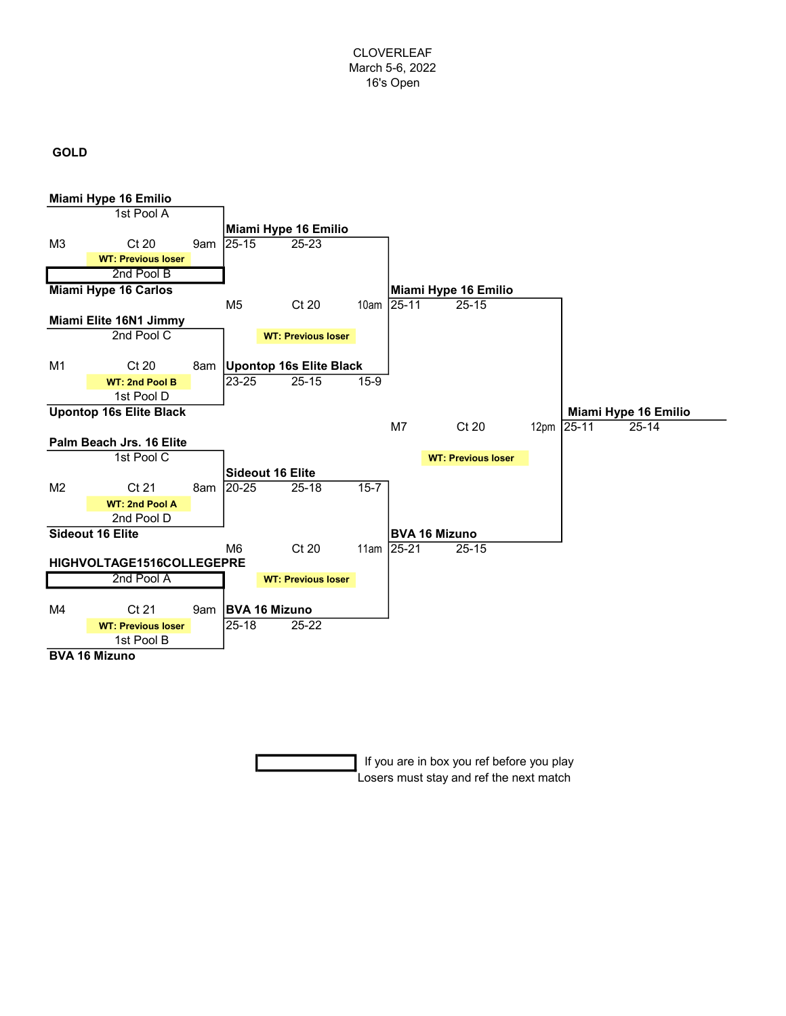# GOLD



 If you are in box you ref before you play Losers must stay and ref the next match